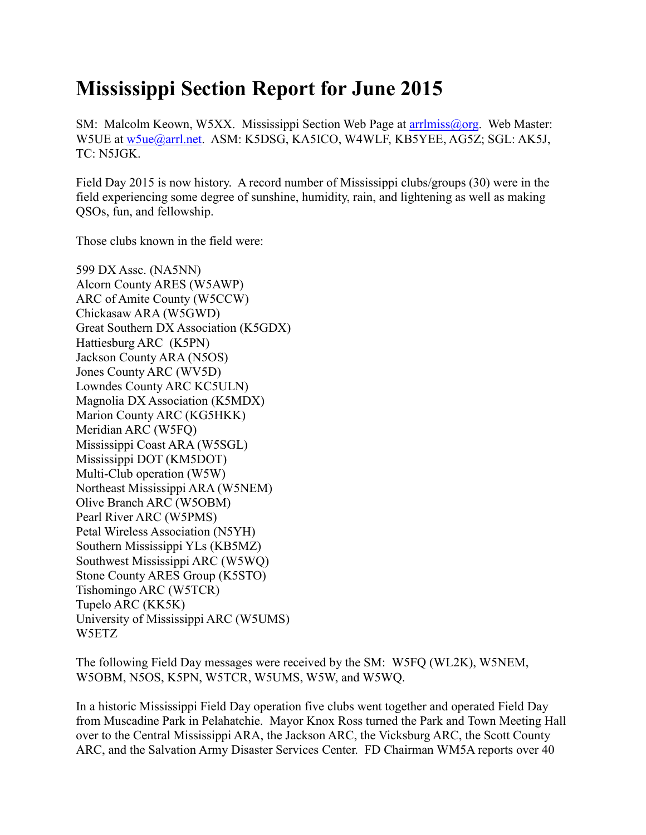## **Mississippi Section Report for June 2015**

SM: Malcolm Keown, W5XX. Mississippi Section Web Page at arrilmiss@org. Web Master: W5UE at [w5ue@arrl.net.](mailto:w5ue@arrl.net) ASM: K5DSG, KA5ICO, W4WLF, KB5YEE, AG5Z; SGL: AK5J, TC: N5JGK.

Field Day 2015 is now history. A record number of Mississippi clubs/groups (30) were in the field experiencing some degree of sunshine, humidity, rain, and lightening as well as making QSOs, fun, and fellowship.

Those clubs known in the field were:

599 DX Assc. (NA5NN) Alcorn County ARES (W5AWP) ARC of Amite County (W5CCW) Chickasaw ARA (W5GWD) Great Southern DX Association (K5GDX) Hattiesburg ARC (K5PN) Jackson County ARA (N5OS) Jones County ARC (WV5D) Lowndes County ARC KC5ULN) Magnolia DX Association (K5MDX) Marion County ARC (KG5HKK) Meridian ARC (W5FQ) Mississippi Coast ARA (W5SGL) Mississippi DOT (KM5DOT) Multi-Club operation (W5W) Northeast Mississippi ARA (W5NEM) Olive Branch ARC (W5OBM) Pearl River ARC (W5PMS) Petal Wireless Association (N5YH) Southern Mississippi YLs (KB5MZ) Southwest Mississippi ARC (W5WQ) Stone County ARES Group (K5STO) Tishomingo ARC (W5TCR) Tupelo ARC (KK5K) University of Mississippi ARC (W5UMS) W5ETZ

The following Field Day messages were received by the SM: W5FQ (WL2K), W5NEM, W5OBM, N5OS, K5PN, W5TCR, W5UMS, W5W, and W5WQ.

In a historic Mississippi Field Day operation five clubs went together and operated Field Day from Muscadine Park in Pelahatchie. Mayor Knox Ross turned the Park and Town Meeting Hall over to the Central Mississippi ARA, the Jackson ARC, the Vicksburg ARC, the Scott County ARC, and the Salvation Army Disaster Services Center. FD Chairman WM5A reports over 40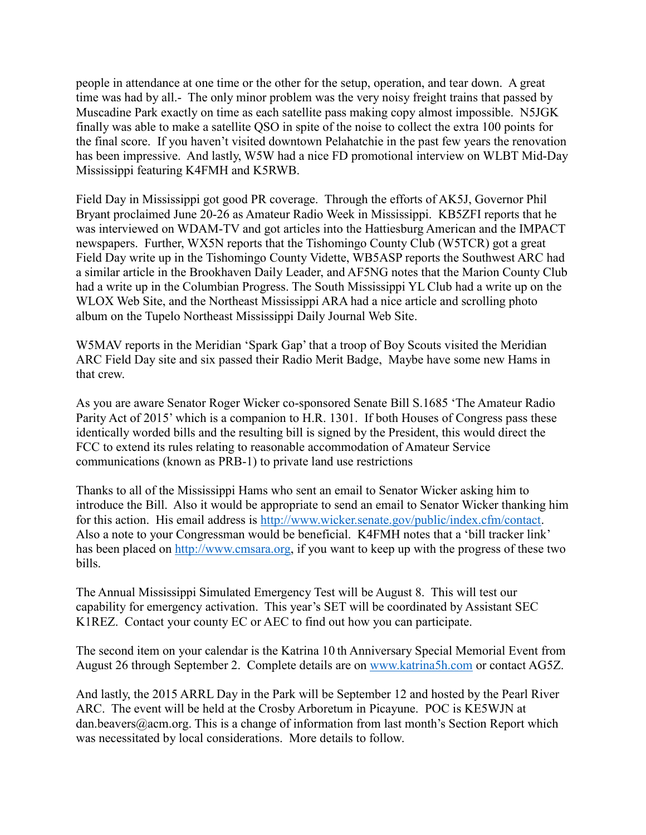people in attendance at one time or the other for the setup, operation, and tear down. A great time was had by all.- The only minor problem was the very noisy freight trains that passed by Muscadine Park exactly on time as each satellite pass making copy almost impossible. N5JGK finally was able to make a satellite QSO in spite of the noise to collect the extra 100 points for the final score. If you haven't visited downtown Pelahatchie in the past few years the renovation has been impressive. And lastly, W5W had a nice FD promotional interview on WLBT Mid-Day Mississippi featuring K4FMH and K5RWB.

Field Day in Mississippi got good PR coverage. Through the efforts of AK5J, Governor Phil Bryant proclaimed June 20-26 as Amateur Radio Week in Mississippi. KB5ZFI reports that he was interviewed on WDAM-TV and got articles into the Hattiesburg American and the IMPACT newspapers. Further, WX5N reports that the Tishomingo County Club (W5TCR) got a great Field Day write up in the Tishomingo County Vidette, WB5ASP reports the Southwest ARC had a similar article in the Brookhaven Daily Leader, and AF5NG notes that the Marion County Club had a write up in the Columbian Progress. The South Mississippi YL Club had a write up on the WLOX Web Site, and the Northeast Mississippi ARA had a nice article and scrolling photo album on the Tupelo Northeast Mississippi Daily Journal Web Site.

W5MAV reports in the Meridian 'Spark Gap' that a troop of Boy Scouts visited the Meridian ARC Field Day site and six passed their Radio Merit Badge, Maybe have some new Hams in that crew.

As you are aware Senator Roger Wicker co-sponsored Senate Bill S.1685 'The Amateur Radio Parity Act of 2015' which is a companion to H.R. 1301. If both Houses of Congress pass these identically worded bills and the resulting bill is signed by the President, this would direct the FCC to extend its rules relating to reasonable accommodation of Amateur Service communications (known as PRB-1) to private land use restrictions

Thanks to all of the Mississippi Hams who sent an email to Senator Wicker asking him to introduce the Bill. Also it would be appropriate to send an email to Senator Wicker thanking him for this action. His email address is [http://www.wicker.senate.gov/public/index.cfm/contact.](http://www.wicker.senate.gov/public/index.cfm/contact) Also a note to your Congressman would be beneficial. K4FMH notes that a 'bill tracker link' has been placed on [http://www.cmsara.org,](http://www.cmsara.org/) if you want to keep up with the progress of these two bills.

The Annual Mississippi Simulated Emergency Test will be August 8. This will test our capability for emergency activation. This year's SET will be coordinated by Assistant SEC K1REZ. Contact your county EC or AEC to find out how you can participate.

The second item on your calendar is the Katrina 10 th Anniversary Special Memorial Event from August 26 through September 2. Complete details are on [www.katrina5h.com](http://www.katrina5h.com/) or contact AG5Z.

And lastly, the 2015 ARRL Day in the Park will be September 12 and hosted by the Pearl River ARC. The event will be held at the Crosby Arboretum in Picayune. POC is KE5WJN at dan.beavers@acm.org. This is a change of information from last month's Section Report which was necessitated by local considerations. More details to follow.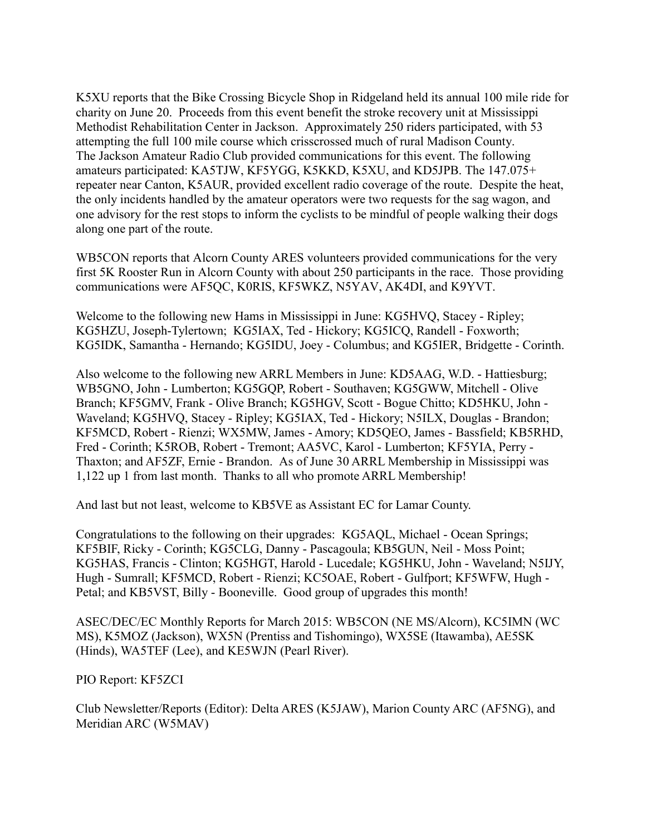K5XU reports that the Bike Crossing Bicycle Shop in Ridgeland held its annual 100 mile ride for charity on June 20. Proceeds from this event benefit the stroke recovery unit at Mississippi Methodist Rehabilitation Center in Jackson. Approximately 250 riders participated, with 53 attempting the full 100 mile course which crisscrossed much of rural Madison County. The Jackson Amateur Radio Club provided communications for this event. The following amateurs participated: KA5TJW, KF5YGG, K5KKD, K5XU, and KD5JPB. The 147.075+ repeater near Canton, K5AUR, provided excellent radio coverage of the route. Despite the heat, the only incidents handled by the amateur operators were two requests for the sag wagon, and one advisory for the rest stops to inform the cyclists to be mindful of people walking their dogs along one part of the route.

WB5CON reports that Alcorn County ARES volunteers provided communications for the very first 5K Rooster Run in Alcorn County with about 250 participants in the race. Those providing communications were AF5QC, K0RIS, KF5WKZ, N5YAV, AK4DI, and K9YVT.

Welcome to the following new Hams in Mississippi in June: KG5HVQ, Stacey - Ripley; KG5HZU, Joseph-Tylertown; KG5IAX, Ted - Hickory; KG5ICQ, Randell - Foxworth; KG5IDK, Samantha - Hernando; KG5IDU, Joey - Columbus; and KG5IER, Bridgette - Corinth.

Also welcome to the following new ARRL Members in June: KD5AAG, W.D. - Hattiesburg; WB5GNO, John - Lumberton; KG5GQP, Robert - Southaven; KG5GWW, Mitchell - Olive Branch; KF5GMV, Frank - Olive Branch; KG5HGV, Scott - Bogue Chitto; KD5HKU, John - Waveland; KG5HVQ, Stacey - Ripley; KG5IAX, Ted - Hickory; N5ILX, Douglas - Brandon; KF5MCD, Robert - Rienzi; WX5MW, James - Amory; KD5QEO, James - Bassfield; KB5RHD, Fred - Corinth; K5ROB, Robert - Tremont; AA5VC, Karol - Lumberton; KF5YIA, Perry - Thaxton; and AF5ZF, Ernie - Brandon. As of June 30 ARRL Membership in Mississippi was 1,122 up 1 from last month. Thanks to all who promote ARRL Membership!

And last but not least, welcome to KB5VE as Assistant EC for Lamar County.

Congratulations to the following on their upgrades: KG5AQL, Michael - Ocean Springs; KF5BIF, Ricky - Corinth; KG5CLG, Danny - Pascagoula; KB5GUN, Neil - Moss Point; KG5HAS, Francis - Clinton; KG5HGT, Harold - Lucedale; KG5HKU, John - Waveland; N5IJY, Hugh - Sumrall; KF5MCD, Robert - Rienzi; KC5OAE, Robert - Gulfport; KF5WFW, Hugh - Petal; and KB5VST, Billy - Booneville. Good group of upgrades this month!

ASEC/DEC/EC Monthly Reports for March 2015: WB5CON (NE MS/Alcorn), KC5IMN (WC MS), K5MOZ (Jackson), WX5N (Prentiss and Tishomingo), WX5SE (Itawamba), AE5SK (Hinds), WA5TEF (Lee), and KE5WJN (Pearl River).

PIO Report: KF5ZCI

Club Newsletter/Reports (Editor): Delta ARES (K5JAW), Marion County ARC (AF5NG), and Meridian ARC (W5MAV)